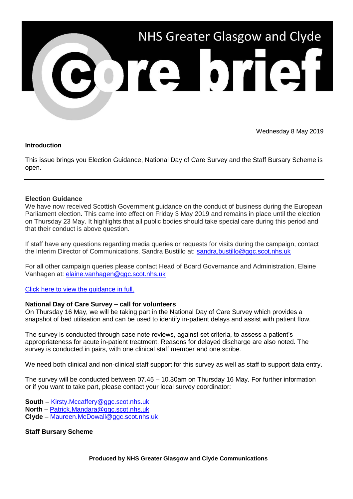

Wednesday 8 May 2019

## **Introduction**

This issue brings you Election Guidance, National Day of Care Survey and the Staff Bursary Scheme is open.

## **Election Guidance**

We have now received Scottish Government guidance on the conduct of business during the European Parliament election. This came into effect on Friday 3 May 2019 and remains in place until the election on Thursday 23 May. It highlights that all public bodies should take special care during this period and that their conduct is above question.

If staff have any questions regarding media queries or requests for visits during the campaign, contact the Interim Director of Communications, Sandra Bustillo at: [sandra.bustillo@ggc.scot.nhs.uk](mailto:sandra.bustillo@ggc.scot.nhs.uk)

For all other campaign queries please contact Head of Board Governance and Administration, Elaine Vanhagen at: [elaine.vanhagen@ggc.scot.nhs.uk](mailto:elaine.vanhagen@ggc.scot.nhs.uk)

[Click here to view the guidance in](https://www.gov.scot/publications/european-parliament-elections-2019-guidance/) full.

## **National Day of Care Survey – call for volunteers**

On Thursday 16 May, we will be taking part in the National Day of Care Survey which provides a snapshot of bed utilisation and can be used to identify in-patient delays and assist with patient flow.

The survey is conducted through case note reviews, against set criteria, to assess a patient's appropriateness for acute in-patient treatment. Reasons for delayed discharge are also noted. The survey is conducted in pairs, with one clinical staff member and one scribe.

We need both clinical and non-clinical staff support for this survey as well as staff to support data entry.

The survey will be conducted between 07.45 – 10.30am on Thursday 16 May. For further information or if you want to take part, please contact your local survey coordinator:

- **South** [Kirsty.Mccaffery@ggc.scot.nhs.uk](mailto:Kirsty.Mccaffery@ggc.scot.nhs.uk)
- **North**  [Patrick.Mandara@ggc.scot.nhs.uk](mailto:Patrick.Mandara@ggc.scot.nhs.uk)
- **Clyde** [Maureen.McDowall@ggc.scot.nhs.uk](mailto:Maureen.McDowall@ggc.scot.nhs.uk)

## **Staff Bursary Scheme**